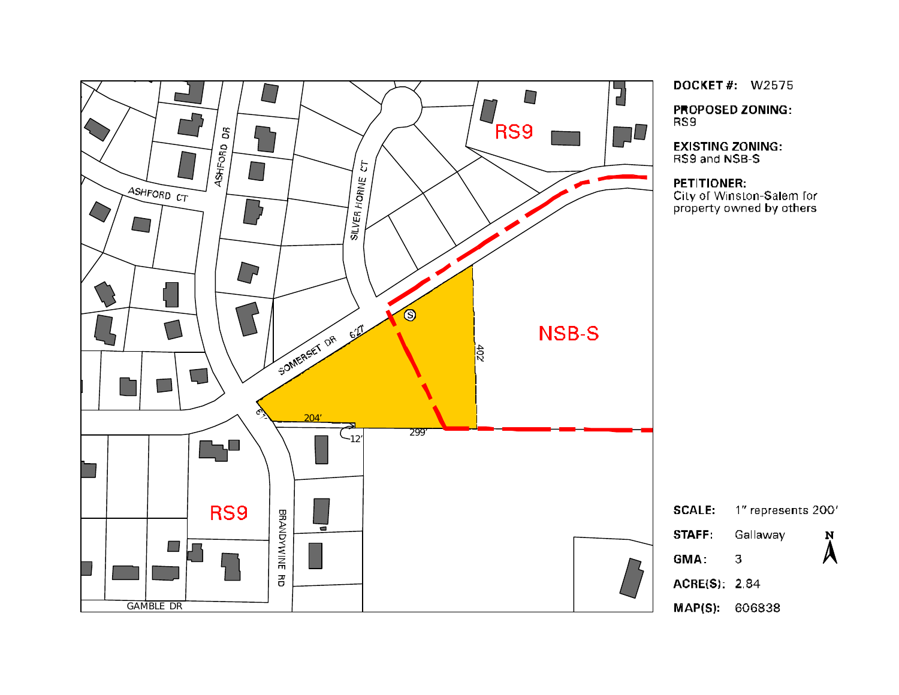

**DOCKET#: W2575** 

**PROPOSED ZONING:** 

**EXISTING ZONING:** RS9 and NSB-S

City of Winston-Salem for property owned by others



MAP(S): 606838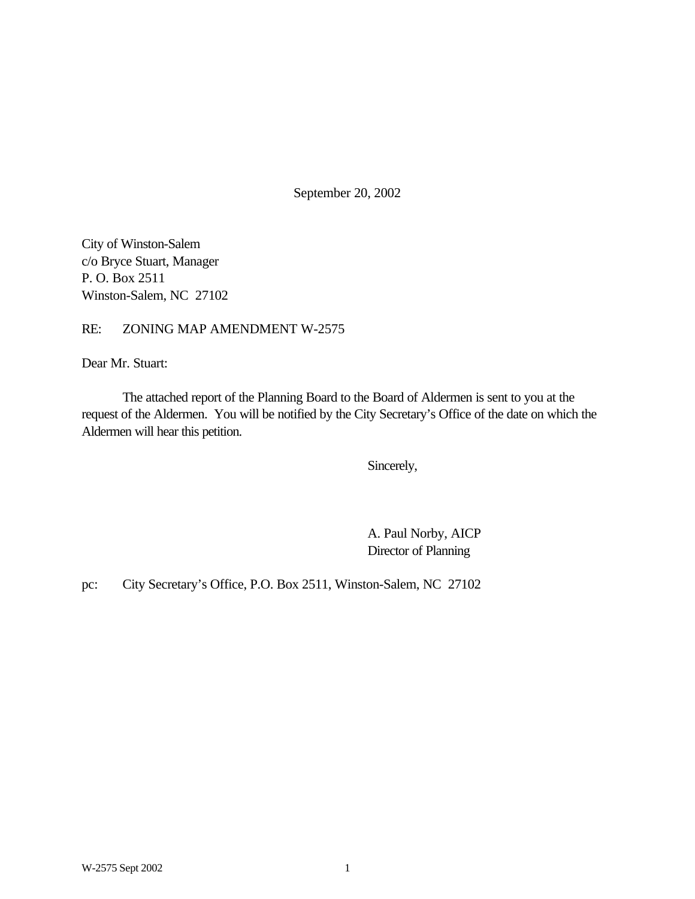September 20, 2002

City of Winston-Salem c/o Bryce Stuart, Manager P. O. Box 2511 Winston-Salem, NC 27102

# RE: ZONING MAP AMENDMENT W-2575

Dear Mr. Stuart:

The attached report of the Planning Board to the Board of Aldermen is sent to you at the request of the Aldermen. You will be notified by the City Secretary's Office of the date on which the Aldermen will hear this petition.

Sincerely,

A. Paul Norby, AICP Director of Planning

pc: City Secretary's Office, P.O. Box 2511, Winston-Salem, NC 27102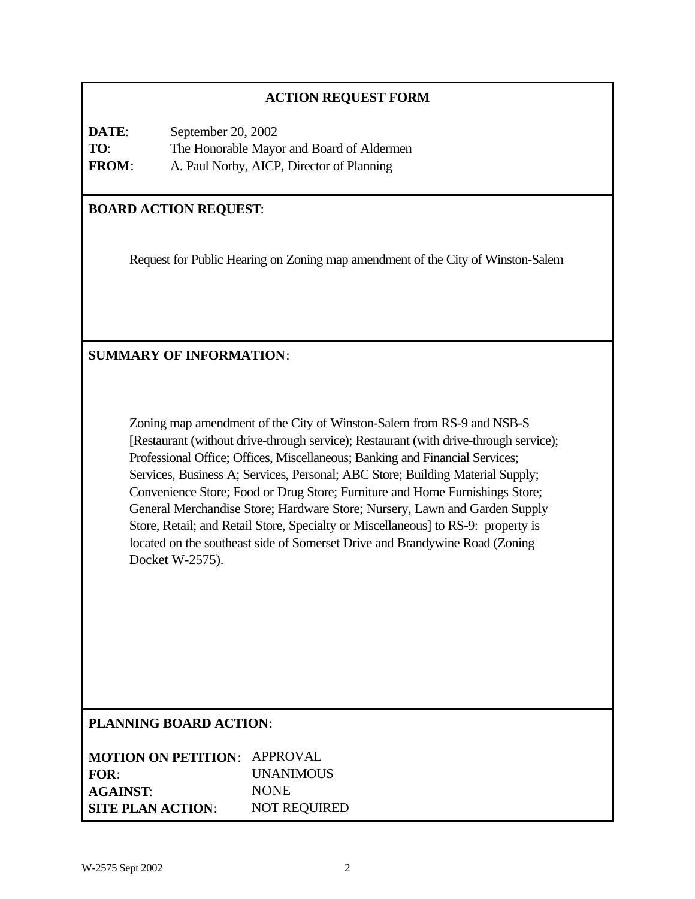# **ACTION REQUEST FORM**

**DATE**: September 20, 2002 **TO**: The Honorable Mayor and Board of Aldermen **FROM**: A. Paul Norby, AICP, Director of Planning

# **BOARD ACTION REQUEST**:

Request for Public Hearing on Zoning map amendment of the City of Winston-Salem

# **SUMMARY OF INFORMATION**:

Zoning map amendment of the City of Winston-Salem from RS-9 and NSB-S [Restaurant (without drive-through service); Restaurant (with drive-through service); Professional Office; Offices, Miscellaneous; Banking and Financial Services; Services, Business A; Services, Personal; ABC Store; Building Material Supply; Convenience Store; Food or Drug Store; Furniture and Home Furnishings Store; General Merchandise Store; Hardware Store; Nursery, Lawn and Garden Supply Store, Retail; and Retail Store, Specialty or Miscellaneous] to RS-9: property is located on the southeast side of Somerset Drive and Brandywine Road (Zoning Docket W-2575).

#### **PLANNING BOARD ACTION**:

| <b>MOTION ON PETITION: APPROVAL</b> |                     |
|-------------------------------------|---------------------|
| FOR:                                | <b>UNANIMOUS</b>    |
| <b>AGAINST:</b>                     | <b>NONE</b>         |
| <b>SITE PLAN ACTION:</b>            | <b>NOT REQUIRED</b> |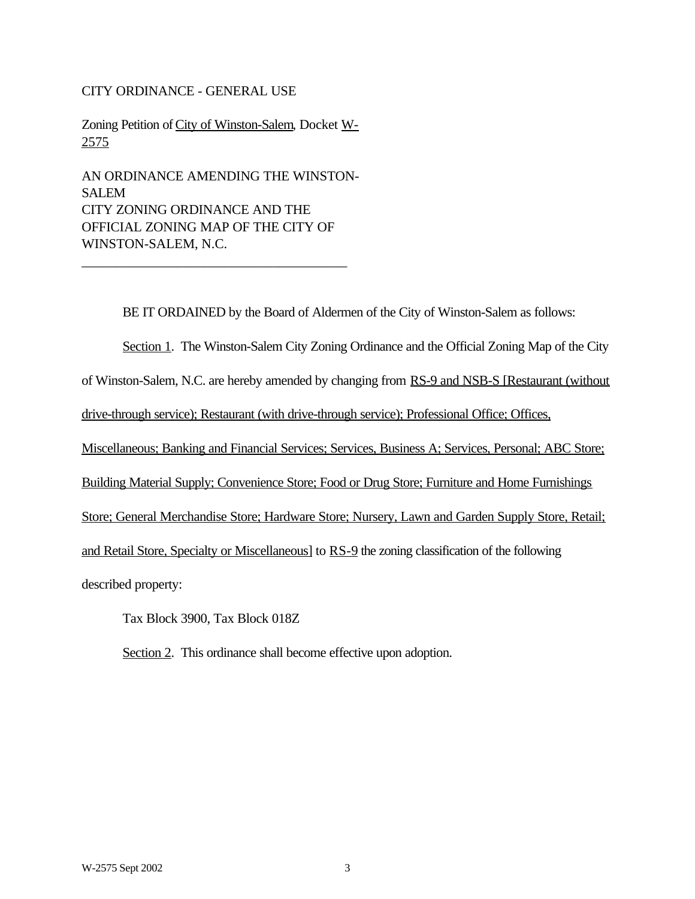#### CITY ORDINANCE - GENERAL USE

Zoning Petition of City of Winston-Salem, Docket W-2575

AN ORDINANCE AMENDING THE WINSTON-SALEM CITY ZONING ORDINANCE AND THE OFFICIAL ZONING MAP OF THE CITY OF WINSTON-SALEM, N.C.

\_\_\_\_\_\_\_\_\_\_\_\_\_\_\_\_\_\_\_\_\_\_\_\_\_\_\_\_\_\_\_\_\_\_\_\_\_\_\_

BE IT ORDAINED by the Board of Aldermen of the City of Winston-Salem as follows:

Section 1. The Winston-Salem City Zoning Ordinance and the Official Zoning Map of the City

of Winston-Salem, N.C. are hereby amended by changing from RS-9 and NSB-S [Restaurant (without

drive-through service); Restaurant (with drive-through service); Professional Office; Offices,

Miscellaneous; Banking and Financial Services; Services, Business A; Services, Personal; ABC Store;

Building Material Supply; Convenience Store; Food or Drug Store; Furniture and Home Furnishings

Store; General Merchandise Store; Hardware Store; Nursery, Lawn and Garden Supply Store, Retail;

and Retail Store, Specialty or Miscellaneous] to RS-9 the zoning classification of the following

described property:

Tax Block 3900, Tax Block 018Z

Section 2. This ordinance shall become effective upon adoption.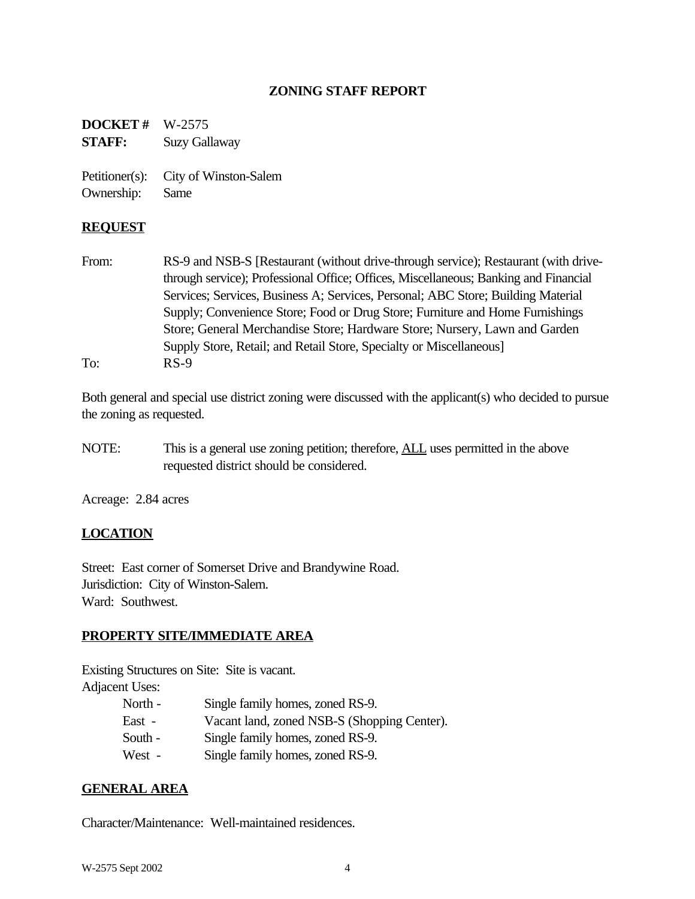## **ZONING STAFF REPORT**

**DOCKET #** W-2575 **STAFF:** Suzy Gallaway

Petitioner(s): City of Winston-Salem Ownership: Same

## **REQUEST**

From: RS-9 and NSB-S [Restaurant (without drive-through service); Restaurant (with drivethrough service); Professional Office; Offices, Miscellaneous; Banking and Financial Services; Services, Business A; Services, Personal; ABC Store; Building Material Supply; Convenience Store; Food or Drug Store; Furniture and Home Furnishings Store; General Merchandise Store; Hardware Store; Nursery, Lawn and Garden Supply Store, Retail; and Retail Store, Specialty or Miscellaneous] To: RS-9

Both general and special use district zoning were discussed with the applicant(s) who decided to pursue the zoning as requested.

NOTE: This is a general use zoning petition; therefore, **ALL** uses permitted in the above requested district should be considered.

Acreage: 2.84 acres

# **LOCATION**

Street: East corner of Somerset Drive and Brandywine Road. Jurisdiction: City of Winston-Salem. Ward: Southwest.

#### **PROPERTY SITE/IMMEDIATE AREA**

Existing Structures on Site: Site is vacant. Adjacent Uses:

- North Single family homes, zoned RS-9. East - Vacant land, zoned NSB-S (Shopping Center). South - Single family homes, zoned RS-9.
	- West Single family homes, zoned RS-9.

## **GENERAL AREA**

Character/Maintenance: Well-maintained residences.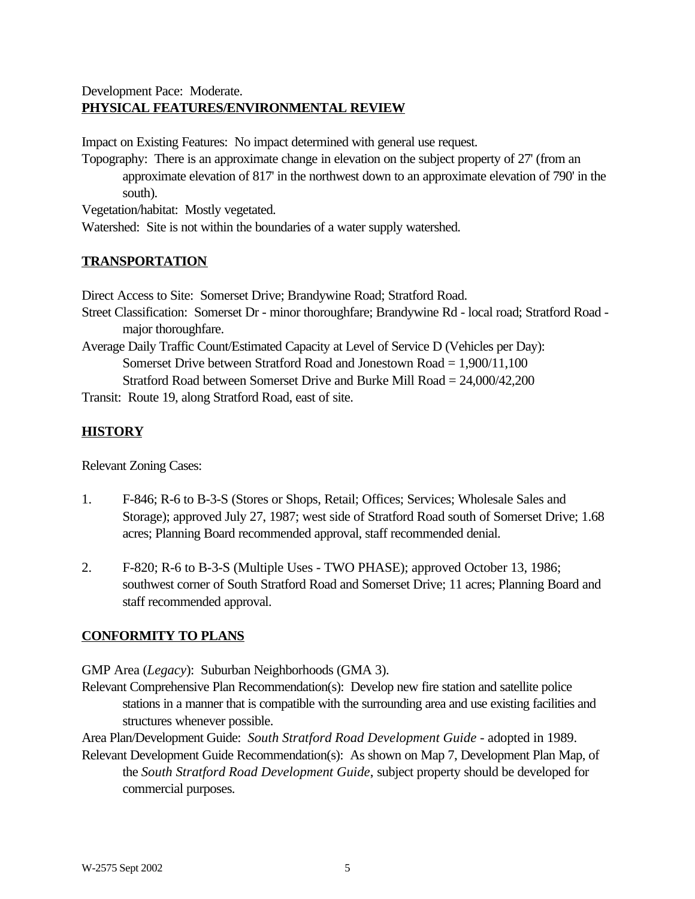# Development Pace: Moderate. **PHYSICAL FEATURES/ENVIRONMENTAL REVIEW**

Impact on Existing Features: No impact determined with general use request.

Topography: There is an approximate change in elevation on the subject property of 27' (from an approximate elevation of 817' in the northwest down to an approximate elevation of 790' in the south).

Vegetation/habitat: Mostly vegetated.

Watershed: Site is not within the boundaries of a water supply watershed.

# **TRANSPORTATION**

Direct Access to Site: Somerset Drive; Brandywine Road; Stratford Road.

Street Classification: Somerset Dr - minor thoroughfare; Brandywine Rd - local road; Stratford Road major thoroughfare.

Average Daily Traffic Count/Estimated Capacity at Level of Service D (Vehicles per Day): Somerset Drive between Stratford Road and Jonestown Road = 1,900/11,100 Stratford Road between Somerset Drive and Burke Mill Road = 24,000/42,200

Transit: Route 19, along Stratford Road, east of site.

# **HISTORY**

Relevant Zoning Cases:

- 1. F-846; R-6 to B-3-S (Stores or Shops, Retail; Offices; Services; Wholesale Sales and Storage); approved July 27, 1987; west side of Stratford Road south of Somerset Drive; 1.68 acres; Planning Board recommended approval, staff recommended denial.
- 2. F-820; R-6 to B-3-S (Multiple Uses TWO PHASE); approved October 13, 1986; southwest corner of South Stratford Road and Somerset Drive; 11 acres; Planning Board and staff recommended approval.

# **CONFORMITY TO PLANS**

GMP Area (*Legacy*): Suburban Neighborhoods (GMA 3).

Relevant Comprehensive Plan Recommendation(s): Develop new fire station and satellite police stations in a manner that is compatible with the surrounding area and use existing facilities and structures whenever possible.

Area Plan/Development Guide: *South Stratford Road Development Guide* - adopted in 1989.

Relevant Development Guide Recommendation(s): As shown on Map 7, Development Plan Map, of the *South Stratford Road Development Guide*, subject property should be developed for commercial purposes.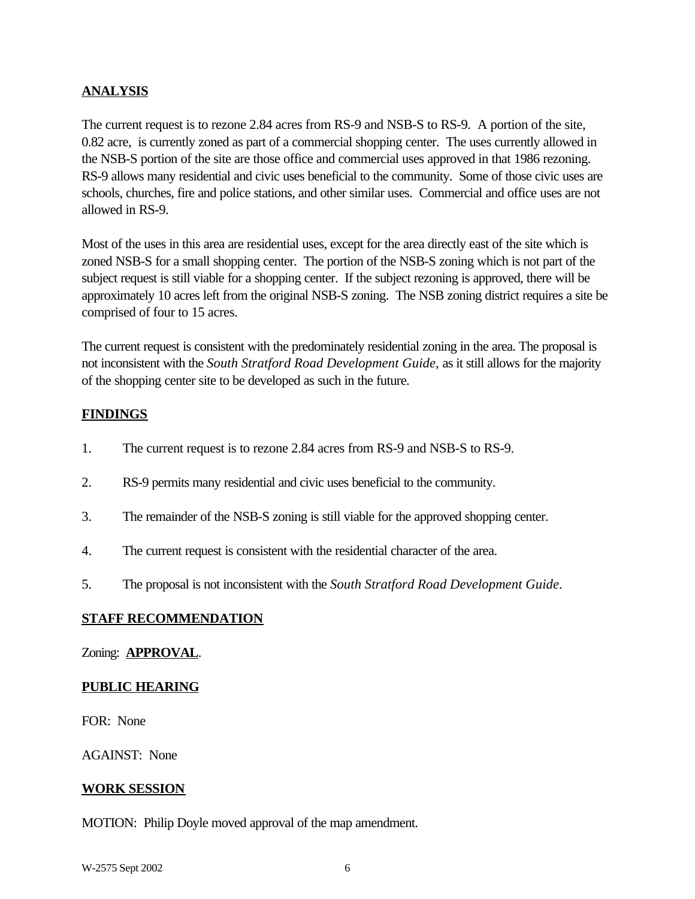# **ANALYSIS**

The current request is to rezone 2.84 acres from RS-9 and NSB-S to RS-9. A portion of the site, 0.82 acre, is currently zoned as part of a commercial shopping center. The uses currently allowed in the NSB-S portion of the site are those office and commercial uses approved in that 1986 rezoning. RS-9 allows many residential and civic uses beneficial to the community. Some of those civic uses are schools, churches, fire and police stations, and other similar uses. Commercial and office uses are not allowed in RS-9.

Most of the uses in this area are residential uses, except for the area directly east of the site which is zoned NSB-S for a small shopping center. The portion of the NSB-S zoning which is not part of the subject request is still viable for a shopping center. If the subject rezoning is approved, there will be approximately 10 acres left from the original NSB-S zoning. The NSB zoning district requires a site be comprised of four to 15 acres.

The current request is consistent with the predominately residential zoning in the area. The proposal is not inconsistent with the *South Stratford Road Development Guide,* as it still allows for the majority of the shopping center site to be developed as such in the future.

# **FINDINGS**

- 1. The current request is to rezone 2.84 acres from RS-9 and NSB-S to RS-9.
- 2. RS-9 permits many residential and civic uses beneficial to the community.
- 3. The remainder of the NSB-S zoning is still viable for the approved shopping center.
- 4. The current request is consistent with the residential character of the area.
- 5. The proposal is not inconsistent with the *South Stratford Road Development Guide*.

## **STAFF RECOMMENDATION**

## Zoning: **APPROVAL**.

## **PUBLIC HEARING**

FOR: None

AGAINST: None

## **WORK SESSION**

MOTION: Philip Doyle moved approval of the map amendment.